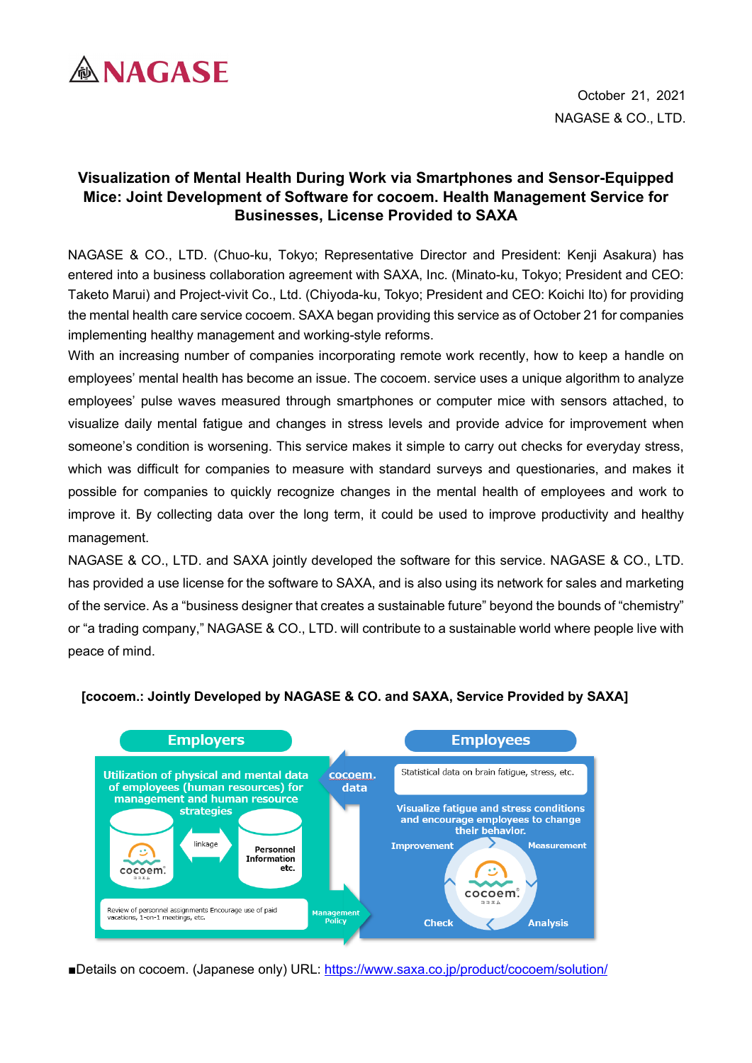

# **Visualization of Mental Health During Work via Smartphones and Sensor-Equipped Mice: Joint Development of Software for cocoem. Health Management Service for Businesses, License Provided to SAXA**

NAGASE & CO., LTD. (Chuo-ku, Tokyo; Representative Director and President: Kenji Asakura) has entered into a business collaboration agreement with SAXA, Inc. (Minato-ku, Tokyo; President and CEO: Taketo Marui) and Project-vivit Co., Ltd. (Chiyoda-ku, Tokyo; President and CEO: Koichi Ito) for providing the mental health care service cocoem. SAXA began providing this service as of October 21 for companies implementing healthy management and working-style reforms.

With an increasing number of companies incorporating remote work recently, how to keep a handle on employees' mental health has become an issue. The cocoem. service uses a unique algorithm to analyze employees' pulse waves measured through smartphones or computer mice with sensors attached, to visualize daily mental fatigue and changes in stress levels and provide advice for improvement when someone's condition is worsening. This service makes it simple to carry out checks for everyday stress, which was difficult for companies to measure with standard surveys and questionaries, and makes it possible for companies to quickly recognize changes in the mental health of employees and work to improve it. By collecting data over the long term, it could be used to improve productivity and healthy management.

NAGASE & CO., LTD. and SAXA jointly developed the software for this service. NAGASE & CO., LTD. has provided a use license for the software to SAXA, and is also using its network for sales and marketing of the service. As a "business designer that creates a sustainable future" beyond the bounds of "chemistry" or "a trading company," NAGASE & CO., LTD. will contribute to a sustainable world where people live with peace of mind.



### **[cocoem.: Jointly Developed by NAGASE & CO. and SAXA, Service Provided by SAXA]**

■Details on cocoem. (Japanese only) URL:<https://www.saxa.co.jp/product/cocoem/solution/>